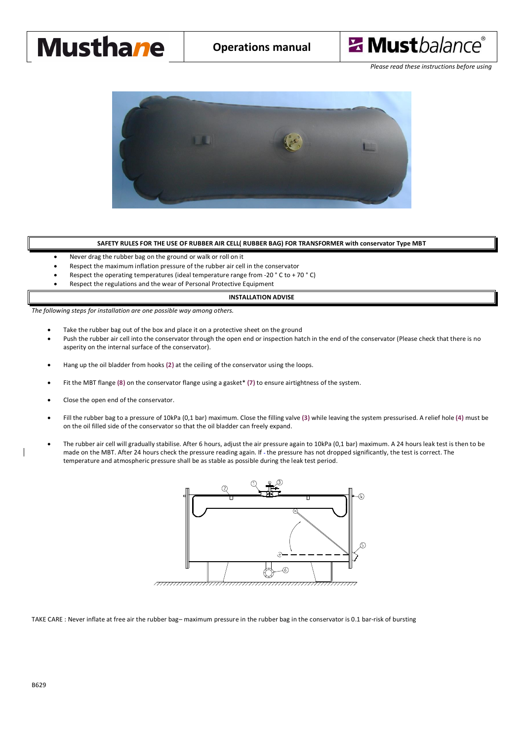# **Musthane**



*Please read these instructions before using*



### **SAFETY RULES FOR THE USE OF RUBBER AIR CELL( RUBBER BAG) FOR TRANSFORMER with conservator Type MBT**

- Never drag the rubber bag on the ground or walk or roll on it
- Respect the maximum inflation pressure of the rubber air cell in the conservator
- Respect the operating temperatures (ideal temperature range from -20  $^{\circ}$  C to + 70  $^{\circ}$  C)
- Respect the regulations and the wear of Personal Protective Equipment

#### **INSTALLATION ADVISE**

*The following steps for installation are one possible way among others.*

- Take the rubber bag out of the box and place it on a protective sheet on the ground
- Push the rubber air cell into the conservator through the open end or inspection hatch in the end of the conservator (Please check that there is no asperity on the internal surface of the conservator).
- · Hang up the oil bladder from hooks **(2)** at the ceiling of the conservator using the loops.
- · Fit the MBT flange **(8)** on the conservator flange using a gasket\* **(7)** to ensure airtightness of the system.
- Close the open end of the conservator.
- · Fill the rubber bag to a pressure of 10kPa (0,1 bar) maximum. Close the filling valve **(3)** while leaving the system pressurised. A relief hole **(4)** must be on the oil filled side of the conservator so that the oil bladder can freely expand.
- The rubber air cell will gradually stabilise. After 6 hours, adjust the air pressure again to 10kPa (0,1 bar) maximum. A 24 hours leak test is then to be made on the MBT. After 24 hours check the pressure reading again. If - the pressure has not dropped significantly, the test is correct. The temperature and atmospheric pressure shall be as stable as possible during the leak test period.



TAKE CARE : Never inflate at free air the rubber bag– maximum pressure in the rubber bag in the conservator is 0.1 bar-risk of bursting